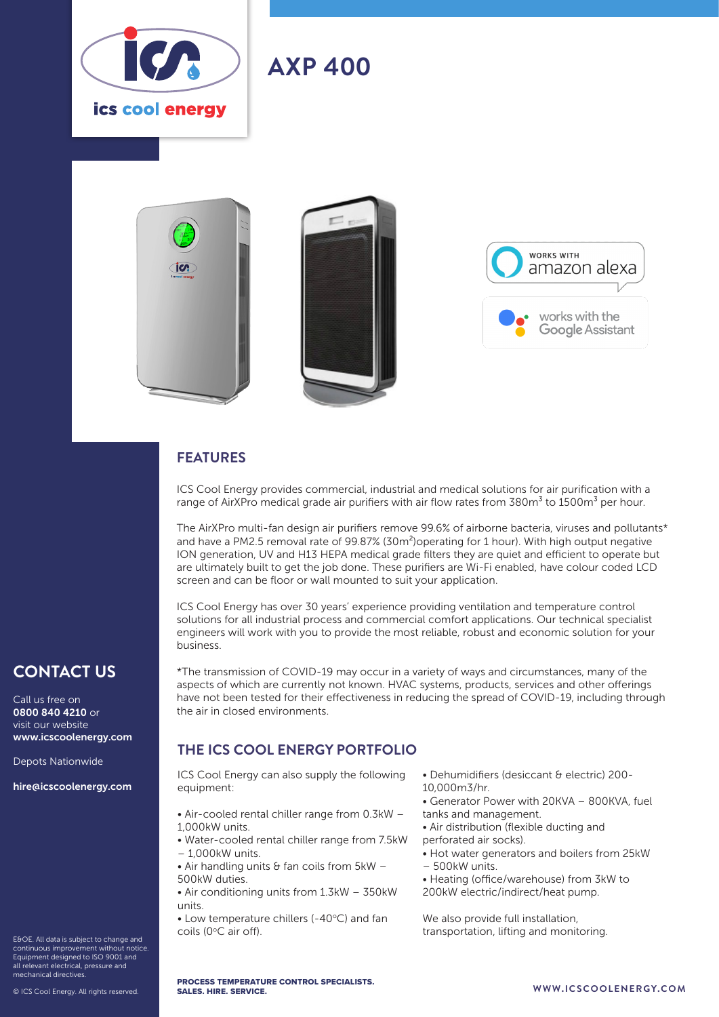

# **AXP 400**





#### **FEATURES**

ICS Cool Energy provides commercial, industrial and medical solutions for air purification with a range of AirXPro medical grade air purifiers with air flow rates from  $380\text{m}^3$  to 1500m<sup>3</sup> per hour.

The AirXPro multi-fan design air purifiers remove 99.6% of airborne bacteria, viruses and pollutants\* and have a PM2.5 removal rate of 99.87% (30m<sup>2</sup>) operating for 1 hour). With high output negative ION generation, UV and H13 HEPA medical grade filters they are quiet and efficient to operate but are ultimately built to get the job done. These purifiers are Wi-Fi enabled, have colour coded LCD screen and can be floor or wall mounted to suit your application.

ICS Cool Energy has over 30 years' experience providing ventilation and temperature control solutions for all industrial process and commercial comfort applications. Our technical specialist engineers will work with you to provide the most reliable, robust and economic solution for your business.

\*The transmission of COVID-19 may occur in a variety of ways and circumstances, many of the aspects of which are currently not known. HVAC systems, products, services and other offerings have not been tested for their effectiveness in reducing the spread of COVID-19, including through

### **CONTACT US**

Call us free on 0800 840 4210 or visit our website www.icscoolenergy.com

Depots Nationwide

hire@icscoolenergy.com

E&OE. All data is subject to change and continuous improvement without notice. Equipment designed to ISO 9001 and all relevant electrical, pressure and mechanical directives.

© ICS Cool Energy. All rights reserved.

### **THE ICS COOL ENERGY PORTFOLIO**

the air in closed environments.

ICS Cool Energy can also supply the following equipment:

- Air-cooled rental chiller range from 0.3kW 1,000kW units.
- Water-cooled rental chiller range from 7.5kW – 1,000kW units.
- Air handling units  $\theta$  fan coils from 5kW 500kW duties.
- Air conditioning units from 1.3kW 350kW units.
- $\bullet$  Low temperature chillers (-40 $\degree$ C) and fan coils (0°C air off).
- Dehumidifiers (desiccant & electric) 200- 10,000m3/hr.
- Generator Power with 20KVA 800KVA, fuel tanks and management.
- Air distribution (flexible ducting and
- perforated air socks).
- Hot water generators and boilers from 25kW – 500kW units.
- 
- Heating (office/warehouse) from 3kW to 200kW electric/indirect/heat pump.

We also provide full installation, transportation, lifting and monitoring.